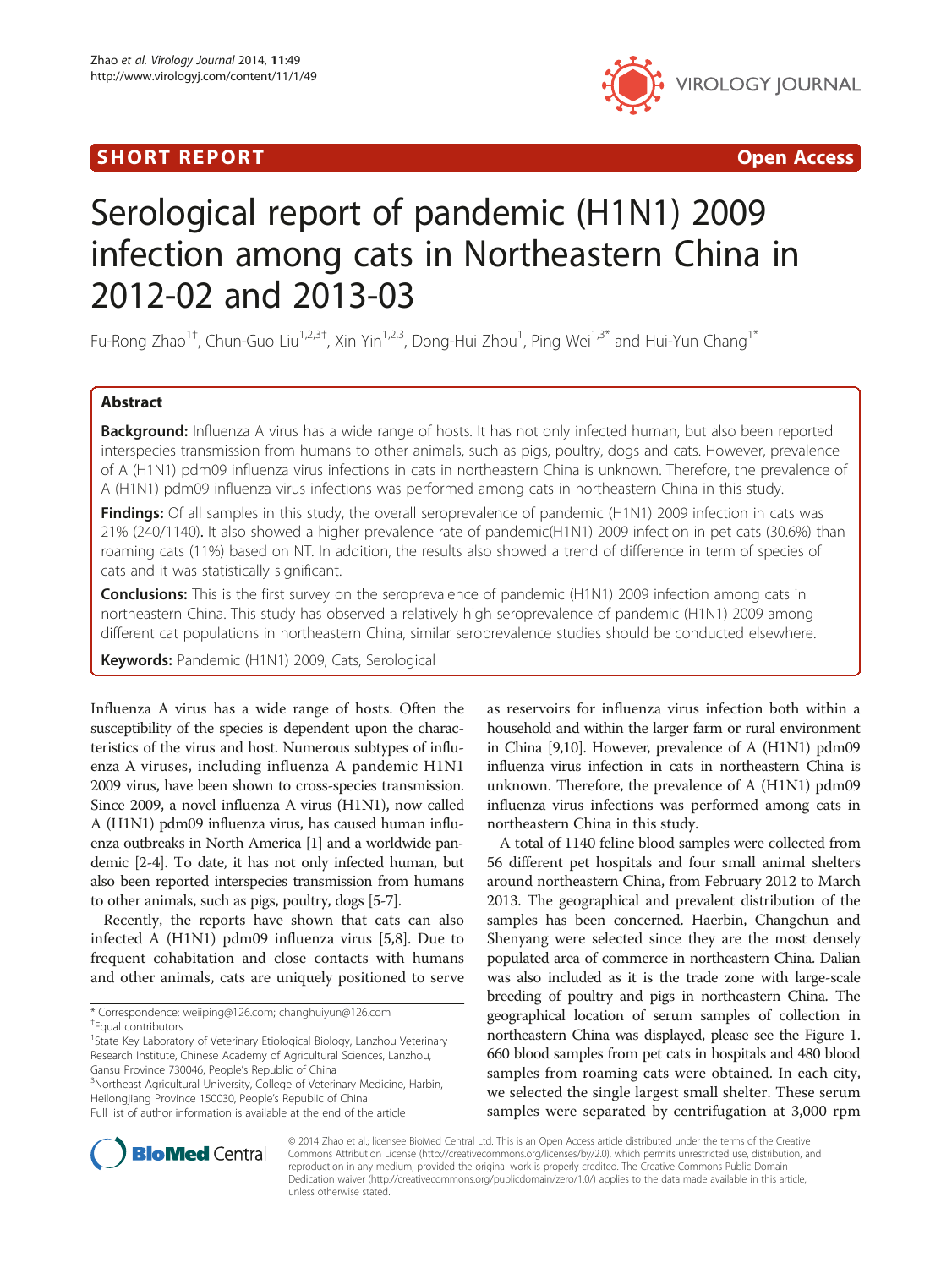# I SHORT REPORT AND THE RESERVE EXPLORER TO A SHOP OPEN ACCESS.



# Serological report of pandemic (H1N1) 2009 infection among cats in Northeastern China in 2012-02 and 2013-03

Fu-Rong Zhao<sup>1†</sup>, Chun-Guo Liu<sup>1,2,3†</sup>, Xin Yin<sup>1,2,3</sup>, Dong-Hui Zhou<sup>1</sup>, Ping Wei<sup>1,3\*</sup> and Hui-Yun Chang<sup>1\*</sup>

## Abstract

Background: Influenza A virus has a wide range of hosts. It has not only infected human, but also been reported interspecies transmission from humans to other animals, such as pigs, poultry, dogs and cats. However, prevalence of A (H1N1) pdm09 influenza virus infections in cats in northeastern China is unknown. Therefore, the prevalence of A (H1N1) pdm09 influenza virus infections was performed among cats in northeastern China in this study.

Findings: Of all samples in this study, the overall seroprevalence of pandemic (H1N1) 2009 infection in cats was 21% (240/1140). It also showed a higher prevalence rate of pandemic(H1N1) 2009 infection in pet cats (30.6%) than roaming cats (11%) based on NT. In addition, the results also showed a trend of difference in term of species of cats and it was statistically significant.

**Conclusions:** This is the first survey on the seroprevalence of pandemic (H1N1) 2009 infection among cats in northeastern China. This study has observed a relatively high seroprevalence of pandemic (H1N1) 2009 among different cat populations in northeastern China, similar seroprevalence studies should be conducted elsewhere.

Keywords: Pandemic (H1N1) 2009, Cats, Serological

Influenza A virus has a wide range of hosts. Often the susceptibility of the species is dependent upon the characteristics of the virus and host. Numerous subtypes of influenza A viruses, including influenza A pandemic H1N1 2009 virus, have been shown to cross-species transmission. Since 2009, a novel influenza A virus (H1N1), now called A (H1N1) pdm09 influenza virus, has caused human influenza outbreaks in North America [\[1](#page-3-0)] and a worldwide pandemic [\[2-4\]](#page-3-0). To date, it has not only infected human, but also been reported interspecies transmission from humans to other animals, such as pigs, poultry, dogs [\[5-7](#page-3-0)].

Recently, the reports have shown that cats can also infected A (H1N1) pdm09 influenza virus [\[5,8](#page-3-0)]. Due to frequent cohabitation and close contacts with humans and other animals, cats are uniquely positioned to serve

<sup>1</sup>State Key Laboratory of Veterinary Etiological Biology, Lanzhou Veterinary Research Institute, Chinese Academy of Agricultural Sciences, Lanzhou, Gansu Province 730046, People's Republic of China <sup>3</sup>

<sup>3</sup>Northeast Agricultural University, College of Veterinary Medicine, Harbin, Heilongjiang Province 150030, People's Republic of China Full list of author information is available at the end of the article

as reservoirs for influenza virus infection both within a household and within the larger farm or rural environment in China [[9,10\]](#page-3-0). However, prevalence of A (H1N1) pdm09 influenza virus infection in cats in northeastern China is unknown. Therefore, the prevalence of A (H1N1) pdm09 influenza virus infections was performed among cats in northeastern China in this study.

A total of 1140 feline blood samples were collected from 56 different pet hospitals and four small animal shelters around northeastern China, from February 2012 to March 2013. The geographical and prevalent distribution of the samples has been concerned. Haerbin, Changchun and Shenyang were selected since they are the most densely populated area of commerce in northeastern China. Dalian was also included as it is the trade zone with large-scale breeding of poultry and pigs in northeastern China. The geographical location of serum samples of collection in northeastern China was displayed, please see the Figure [1](#page-1-0). 660 blood samples from pet cats in hospitals and 480 blood samples from roaming cats were obtained. In each city, we selected the single largest small shelter. These serum samples were separated by centrifugation at 3,000 rpm



© 2014 Zhao et al.; licensee BioMed Central Ltd. This is an Open Access article distributed under the terms of the Creative Commons Attribution License [\(http://creativecommons.org/licenses/by/2.0\)](http://creativecommons.org/licenses/by/2.0), which permits unrestricted use, distribution, and reproduction in any medium, provided the original work is properly credited. The Creative Commons Public Domain Dedication waiver [\(http://creativecommons.org/publicdomain/zero/1.0/](http://creativecommons.org/publicdomain/zero/1.0/)) applies to the data made available in this article, unless otherwise stated.

<sup>\*</sup> Correspondence: [weiiping@126.com](mailto:weiiping@126.com); [changhuiyun@126.com](mailto:changhuiyun@126.com) †

<sup>&</sup>lt;sup>+</sup>Equal contributors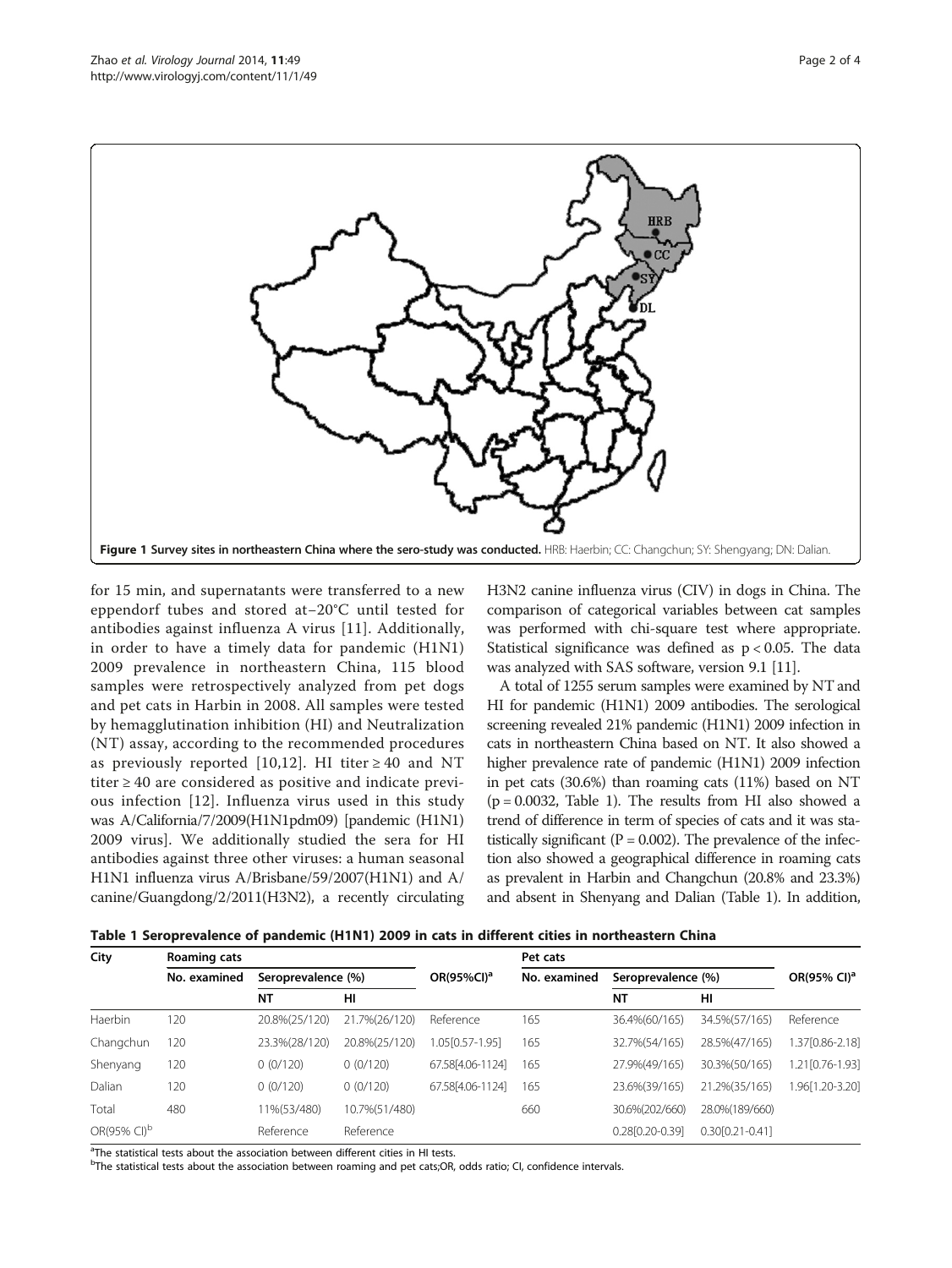<span id="page-1-0"></span>

for 15 min, and supernatants were transferred to a new eppendorf tubes and stored at−20°C until tested for antibodies against influenza A virus [[11\]](#page-3-0). Additionally, in order to have a timely data for pandemic (H1N1) 2009 prevalence in northeastern China, 115 blood samples were retrospectively analyzed from pet dogs and pet cats in Harbin in 2008. All samples were tested by hemagglutination inhibition (HI) and Neutralization (NT) assay, according to the recommended procedures as previously reported [\[10,12](#page-3-0)]. HI titer  $\geq 40$  and NT titer ≥ 40 are considered as positive and indicate previous infection [\[12\]](#page-3-0). Influenza virus used in this study was A/California/7/2009(H1N1pdm09) [pandemic (H1N1) 2009 virus]. We additionally studied the sera for HI antibodies against three other viruses: a human seasonal H1N1 influenza virus A/Brisbane/59/2007(H1N1) and A/ canine/Guangdong/2/2011(H3N2), a recently circulating

H3N2 canine influenza virus (CIV) in dogs in China. The comparison of categorical variables between cat samples was performed with chi-square test where appropriate. Statistical significance was defined as p < 0.05. The data was analyzed with SAS software, version 9.1 [\[11\]](#page-3-0).

A total of 1255 serum samples were examined by NT and HI for pandemic (H1N1) 2009 antibodies. The serological screening revealed 21% pandemic (H1N1) 2009 infection in cats in northeastern China based on NT. It also showed a higher prevalence rate of pandemic (H1N1) 2009 infection in pet cats (30.6%) than roaming cats (11%) based on NT  $(p = 0.0032,$  Table 1). The results from HI also showed a trend of difference in term of species of cats and it was statistically significant ( $P = 0.002$ ). The prevalence of the infection also showed a geographical difference in roaming cats as prevalent in Harbin and Changchun (20.8% and 23.3%) and absent in Shenyang and Dalian (Table 1). In addition,

| Table 1 Seroprevalence of pandemic (H1N1) 2009 in cats in different cities in northeastern China |  |  |  |  |
|--------------------------------------------------------------------------------------------------|--|--|--|--|
|                                                                                                  |  |  |  |  |

| City                    | Roaming cats |                    |               |                        | Pet cats     |                    |                     |                         |
|-------------------------|--------------|--------------------|---------------|------------------------|--------------|--------------------|---------------------|-------------------------|
|                         | No. examined | Seroprevalence (%) |               | OR(95%CI) <sup>a</sup> | No. examined | Seroprevalence (%) |                     | OR(95% CI) <sup>a</sup> |
|                         |              | ΝT                 | HI            |                        |              | <b>NT</b>          | HI                  |                         |
| Haerbin                 | 120          | 20.8%(25/120)      | 21.7%(26/120) | Reference              | 165          | 36.4%(60/165)      | 34.5%(57/165)       | Reference               |
| Changchun               | 120          | 23.3%(28/120)      | 20.8%(25/120) | 1.05[0.57-1.95]        | 165          | 32.7%(54/165)      | 28.5%(47/165)       | 1.37[0.86-2.18]         |
| Shenyang                | 120          | 0(0/120)           | 0(0/120)      | 67.58 [4.06-1124]      | 165          | 27.9%(49/165)      | 30.3%(50/165)       | 1.21[0.76-1.93]         |
| Dalian                  | 120          | 0(0/120)           | 0(0/120)      | 67.58 [4.06-1124]      | 165          | 23.6%(39/165)      | 21.2%(35/165)       | 1.96[1.20-3.20]         |
| Total                   | 480          | 11%(53/480)        | 10.7%(51/480) |                        | 660          | 30.6%(202/660)     | 28.0% (189/660)     |                         |
| OR(95% CI) <sup>b</sup> |              | Reference          | Reference     |                        |              | 0.28[0.20-0.39]    | $0.30[0.21 - 0.41]$ |                         |

<sup>a</sup>The statistical tests about the association between different cities in HI tests.

<sup>b</sup>The statistical tests about the association between roaming and pet cats;OR, odds ratio; CI, confidence intervals.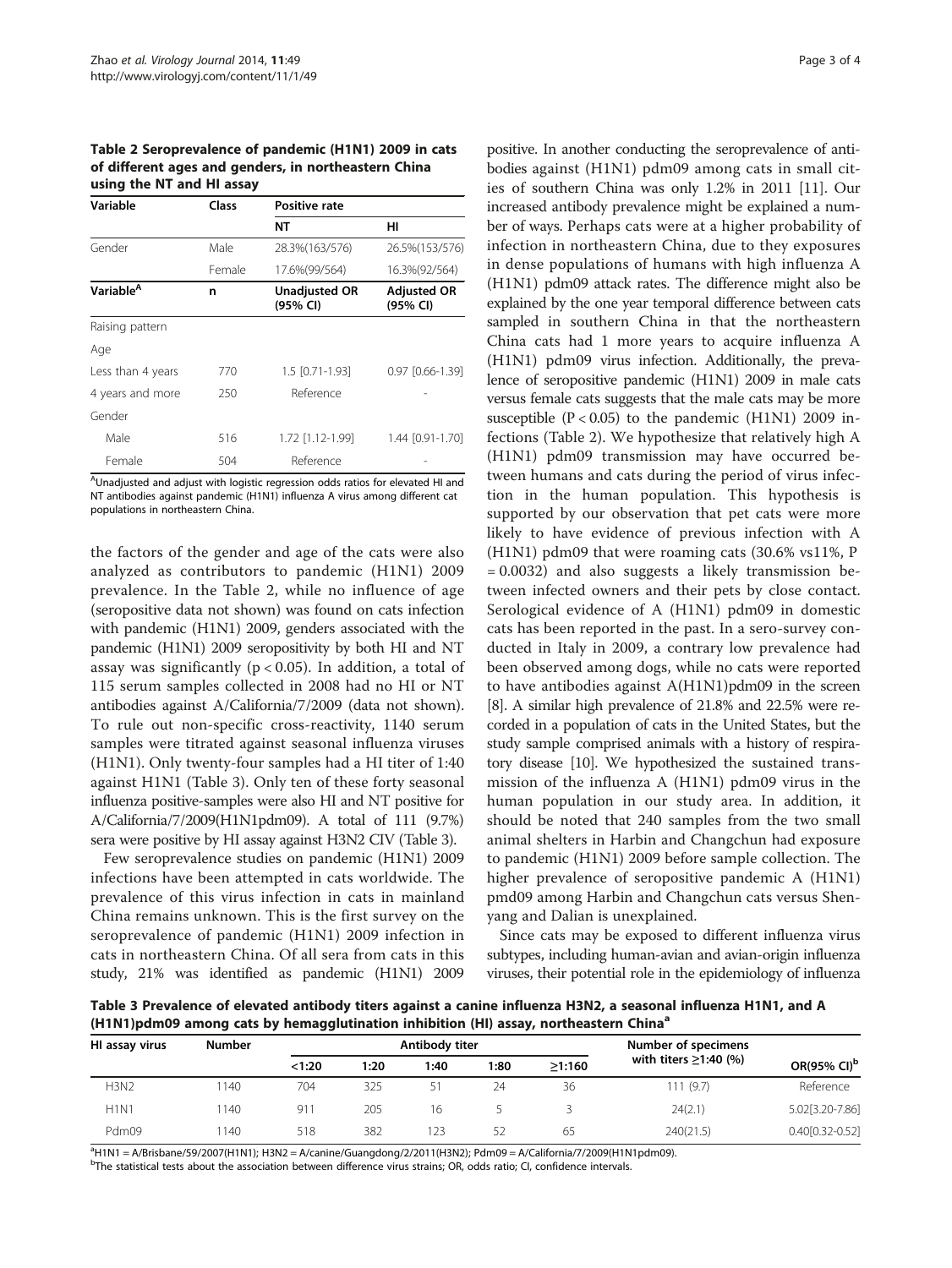Table 2 Seroprevalence of pandemic (H1N1) 2009 in cats of different ages and genders, in northeastern China using the NT and HI assay

| Variable              | Class  | <b>Positive rate</b>             |                                |  |  |  |
|-----------------------|--------|----------------------------------|--------------------------------|--|--|--|
|                       |        | NΤ                               | нı                             |  |  |  |
| Gender                | Male   | 28.3% (163/576)                  | 26.5%(153/576)                 |  |  |  |
|                       | Female | 17.6%(99/564)                    | 16.3%(92/564)                  |  |  |  |
| Variable <sup>A</sup> | n      | <b>Unadjusted OR</b><br>(95% CI) | <b>Adjusted OR</b><br>(95% CI) |  |  |  |
| Raising pattern       |        |                                  |                                |  |  |  |
| Age                   |        |                                  |                                |  |  |  |
| Less than 4 years     | 770    | $1.5$ $[0.71 - 1.93]$            | 0.97 [0.66-1.39]               |  |  |  |
| 4 years and more      | 250    | Reference                        |                                |  |  |  |
| Gender                |        |                                  |                                |  |  |  |
| Male                  | 516    | 1.72 [1.12-1.99]                 | 1.44 [0.91-1.70]               |  |  |  |
| Female                | 504    | Reference                        |                                |  |  |  |

<sup>A</sup>Unadjusted and adjust with logistic regression odds ratios for elevated HI and NT antibodies against pandemic (H1N1) influenza A virus among different cat populations in northeastern China.

the factors of the gender and age of the cats were also analyzed as contributors to pandemic (H1N1) 2009 prevalence. In the Table 2, while no influence of age (seropositive data not shown) was found on cats infection with pandemic (H1N1) 2009, genders associated with the pandemic (H1N1) 2009 seropositivity by both HI and NT assay was significantly ( $p < 0.05$ ). In addition, a total of 115 serum samples collected in 2008 had no HI or NT antibodies against A/California/7/2009 (data not shown). To rule out non-specific cross-reactivity, 1140 serum samples were titrated against seasonal influenza viruses (H1N1). Only twenty-four samples had a HI titer of 1:40 against H1N1 (Table 3). Only ten of these forty seasonal influenza positive-samples were also HI and NT positive for A/California/7/2009(H1N1pdm09). A total of 111 (9.7%) sera were positive by HI assay against H3N2 CIV (Table 3).

Few seroprevalence studies on pandemic (H1N1) 2009 infections have been attempted in cats worldwide. The prevalence of this virus infection in cats in mainland China remains unknown. This is the first survey on the seroprevalence of pandemic (H1N1) 2009 infection in cats in northeastern China. Of all sera from cats in this study, 21% was identified as pandemic (H1N1) 2009

positive. In another conducting the seroprevalence of antibodies against (H1N1) pdm09 among cats in small cities of southern China was only 1.2% in 2011 [\[11\]](#page-3-0). Our increased antibody prevalence might be explained a number of ways. Perhaps cats were at a higher probability of infection in northeastern China, due to they exposures in dense populations of humans with high influenza A (H1N1) pdm09 attack rates. The difference might also be explained by the one year temporal difference between cats sampled in southern China in that the northeastern China cats had 1 more years to acquire influenza A (H1N1) pdm09 virus infection. Additionally, the prevalence of seropositive pandemic (H1N1) 2009 in male cats versus female cats suggests that the male cats may be more susceptible  $(P < 0.05)$  to the pandemic (H1N1) 2009 infections (Table 2). We hypothesize that relatively high A (H1N1) pdm09 transmission may have occurred between humans and cats during the period of virus infection in the human population. This hypothesis is supported by our observation that pet cats were more likely to have evidence of previous infection with A (H1N1) pdm09 that were roaming cats (30.6% vs11%, P = 0.0032) and also suggests a likely transmission between infected owners and their pets by close contact. Serological evidence of A (H1N1) pdm09 in domestic cats has been reported in the past. In a sero-survey conducted in Italy in 2009, a contrary low prevalence had been observed among dogs, while no cats were reported to have antibodies against A(H1N1)pdm09 in the screen [[8](#page-3-0)]. A similar high prevalence of 21.8% and 22.5% were recorded in a population of cats in the United States, but the study sample comprised animals with a history of respiratory disease [[10](#page-3-0)]. We hypothesized the sustained transmission of the influenza A (H1N1) pdm09 virus in the human population in our study area. In addition, it should be noted that 240 samples from the two small animal shelters in Harbin and Changchun had exposure to pandemic (H1N1) 2009 before sample collection. The higher prevalence of seropositive pandemic A (H1N1) pmd09 among Harbin and Changchun cats versus Shenyang and Dalian is unexplained.

Since cats may be exposed to different influenza virus subtypes, including human-avian and avian-origin influenza viruses, their potential role in the epidemiology of influenza

Table 3 Prevalence of elevated antibody titers against a canine influenza H3N2, a seasonal influenza H1N1, and A (H1N1)pdm09 among cats by hemagglutination inhibition (HI) assay, northeastern China<sup>a</sup>

| HI assay virus | <b>Number</b> |        | Antibody titer |      |      |        | Number of specimens         |                         |  |
|----------------|---------------|--------|----------------|------|------|--------|-----------------------------|-------------------------|--|
|                |               | < 1:20 | 1:20           | 1:40 | 1:80 | >1:160 | with titers $\geq$ 1:40 (%) | OR(95% CI) <sup>b</sup> |  |
| <b>H3N2</b>    | 140           | 704    | 325            | 51   | 24   | 36     | 111(9.7)                    | Reference               |  |
| <b>H1N1</b>    | 140           | 911    | 205            | 16   |      |        | 24(2.1)                     | 5.02[3.20-7.86]         |  |
| Pdm09          | 140           | 518    | 382            | 123  | 52   | 65     | 240(21.5)                   | 0.40[0.32-0.52]         |  |

a H1N1 = A/Brisbane/59/2007(H1N1); H3N2 = A/canine/Guangdong/2/2011(H3N2); Pdm09 = A/California/7/2009(H1N1pdm09).

<sup>b</sup>The statistical tests about the association between difference virus strains; OR, odds ratio; CI, confidence intervals.